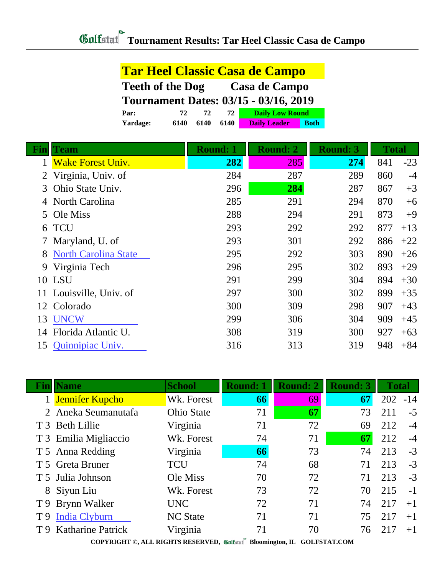|          | <b>Tar Heel Classic Casa de Campo</b>        |      |      |                        |             |  |  |  |  |
|----------|----------------------------------------------|------|------|------------------------|-------------|--|--|--|--|
|          | <b>Teeth of the Dog</b><br>Casa de Campo     |      |      |                        |             |  |  |  |  |
|          | <b>Tournament Dates: 03/15 - 03/16, 2019</b> |      |      |                        |             |  |  |  |  |
| Par:     | 72                                           | 72   | 72   | <b>Daily Low Round</b> |             |  |  |  |  |
| Yardage: | 6140                                         | 6140 | 6140 | <b>Daily Leader</b>    | <b>Both</b> |  |  |  |  |

|    | <b>Team</b>                 | <b>Round: 1</b> | <b>Round: 2</b><br><b>Round: 3</b> |     |     | <b>Total</b> |  |
|----|-----------------------------|-----------------|------------------------------------|-----|-----|--------------|--|
|    | <b>Wake Forest Univ.</b>    | 282             | 285                                | 274 | 841 | $-23$        |  |
| 2  | Virginia, Univ. of          | 284             | 287                                | 289 | 860 | $-4$         |  |
| 3  | Ohio State Univ.            | 296             | 284                                | 287 | 867 | $+3$         |  |
|    | North Carolina              | 285             | 291                                | 294 | 870 | $+6$         |  |
| 5. | Ole Miss                    | 288             | 294                                | 291 | 873 | $+9$         |  |
| 6  | <b>TCU</b>                  | 293             | 292                                | 292 | 877 | $+13$        |  |
|    | 7 Maryland, U. of           | 293             | 301                                | 292 | 886 | $+22$        |  |
| 8  | <b>North Carolina State</b> | 295             | 292                                | 303 | 890 | $+26$        |  |
| 9  | Virginia Tech               | 296             | 295                                | 302 | 893 | $+29$        |  |
|    | <b>10 LSU</b>               | 291             | 299                                | 304 | 894 | $+30$        |  |
| 11 | Louisville, Univ. of        | 297             | 300                                | 302 | 899 | $+35$        |  |
| 12 | Colorado                    | 300             | 309                                | 298 | 907 | $+43$        |  |
| 13 | <b>UNCW</b>                 | 299             | 306                                | 304 | 909 | $+45$        |  |
| 14 | Florida Atlantic U.         | 308             | 319                                | 300 | 927 | $+63$        |  |
| 15 | Quinnipiac Univ.            | 316             | 313                                | 319 | 948 | $+84$        |  |

| Fin            | <b>Name</b>           | <b>School</b>     | <b>Round: 1</b> | <b>Round: 2</b> | <b>Round: 3</b> | <b>Total</b> |       |
|----------------|-----------------------|-------------------|-----------------|-----------------|-----------------|--------------|-------|
|                | 1 Jennifer Kupcho     | Wk. Forest        | 66              | 69              | 67              | 202          | $-14$ |
|                | 2 Aneka Seumanutafa   | <b>Ohio State</b> | 71              | 67              | 73              | 211          | $-5$  |
|                | T 3 Beth Lillie       | Virginia          | 71              | 72              | 69              | 212          | $-4$  |
|                | T 3 Emilia Migliaccio | Wk. Forest        | 74              | 71              | 67              | 212          | $-4$  |
|                | T 5 Anna Redding      | Virginia          | 66              | 73              | 74              | 213          | $-3$  |
|                | T 5 Greta Bruner      | <b>TCU</b>        | 74              | 68              | 71              | 213          | $-3$  |
|                | T 5 Julia Johnson     | Ole Miss          | 70              | 72              | 71              | 213          | $-3$  |
|                | 8 Siyun Liu           | Wk. Forest        | 73              | 72              | 70              | 215          | $-1$  |
|                | T 9 Brynn Walker      | <b>UNC</b>        | 72              | 71              | 74              | 217          | $+1$  |
| T <sub>9</sub> | India Clyburn         | <b>NC State</b>   | 71              | 71              | 75              | 217          | $+1$  |
|                | T 9 Katharine Patrick | Virginia          | 71              | 70              | 76              | 217          | $+1$  |
|                |                       |                   |                 |                 |                 |              |       |

**COPYRIGHT ©, ALL RIGHTS RESERVED, Bloomington, IL GOLFSTAT.COM**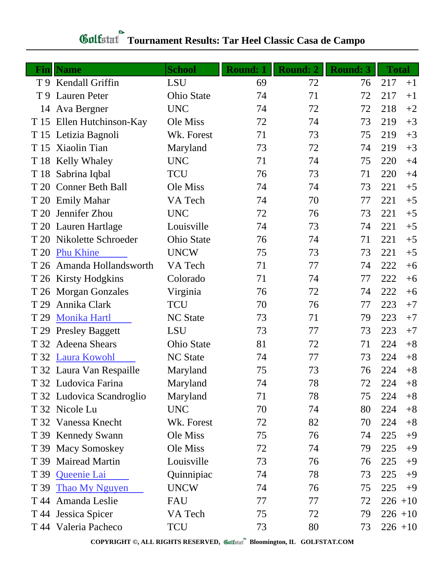| Fin  | <b>Name</b>               | <b>School</b>     | <b>Round: 1</b> | <b>Round: 2</b> | <b>Round: 3</b> | <b>Total</b> |      |
|------|---------------------------|-------------------|-----------------|-----------------|-----------------|--------------|------|
|      | T 9 Kendall Griffin       | <b>LSU</b>        | 69              | 72              | 76              | 217          | $+1$ |
|      | T 9 Lauren Peter          | <b>Ohio State</b> | 74              | 71              | 72              | 217          | $+1$ |
| 14   | Ava Bergner               | <b>UNC</b>        | 74              | 72              | 72              | 218          | $+2$ |
|      | T 15 Ellen Hutchinson-Kay | Ole Miss          | 72              | 74              | 73              | 219          | $+3$ |
|      | T 15 Letizia Bagnoli      | Wk. Forest        | 71              | 73              | 75              | 219          | $+3$ |
|      | T 15 Xiaolin Tian         | Maryland          | 73              | 72              | 74              | 219          | $+3$ |
|      | T 18 Kelly Whaley         | <b>UNC</b>        | 71              | 74              | 75              | 220          | $+4$ |
|      | T 18 Sabrina Iqbal        | <b>TCU</b>        | 76              | 73              | 71              | 220          | $+4$ |
|      | T 20 Conner Beth Ball     | Ole Miss          | 74              | 74              | 73              | 221          | $+5$ |
|      | T 20 Emily Mahar          | VA Tech           | 74              | 70              | 77              | 221          | $+5$ |
| T 20 | Jennifer Zhou             | <b>UNC</b>        | 72              | 76              | 73              | 221          | $+5$ |
|      | T 20 Lauren Hartlage      | Louisville        | 74              | 73              | 74              | 221          | $+5$ |
|      | T 20 Nikolette Schroeder  | <b>Ohio State</b> | 76              | 74              | 71              | 221          | $+5$ |
| T 20 | <b>Phu Khine</b>          | <b>UNCW</b>       | 75              | 73              | 73              | 221          | $+5$ |
|      | T 26 Amanda Hollandsworth | VA Tech           | 71              | 77              | 74              | 222          | $+6$ |
|      | T 26 Kirsty Hodgkins      | Colorado          | 71              | 74              | 77              | 222          | $+6$ |
|      | T 26 Morgan Gonzales      | Virginia          | 76              | 72              | 74              | 222          | $+6$ |
| T 29 | Annika Clark              | TCU               | 70              | 76              | 77              | 223          | $+7$ |
| T 29 | <b>Monika Hartl</b>       | <b>NC</b> State   | 73              | 71              | 79              | 223          | $+7$ |
|      | T 29 Presley Baggett      | <b>LSU</b>        | 73              | 77              | 73              | 223          | $+7$ |
| T 32 | <b>Adeena Shears</b>      | <b>Ohio State</b> | 81              | 72              | 71              | 224          | $+8$ |
|      | T 32 Laura Kowohl         | <b>NC</b> State   | 74              | 77              | 73              | 224          | $+8$ |
|      | T 32 Laura Van Respaille  | Maryland          | 75              | 73              | 76              | 224          | $+8$ |
|      | T 32 Ludovica Farina      | Maryland          | 74              | 78              | 72              | 224          | $+8$ |
|      | T 32 Ludovica Scandroglio | Maryland          | 71              | 78              | 75              | 224          | $+8$ |
|      | T 32 Nicole Lu            | <b>UNC</b>        | 70              | 74              | 80              | 224          | $+8$ |
|      | T 32 Vanessa Knecht       | Wk. Forest        | 72              | 82              | 70              | 224          | $+8$ |
|      | T 39 Kennedy Swann        | Ole Miss          | 75              | 76              | 74              | 225          | $+9$ |
|      | T 39 Macy Somoskey        | Ole Miss          | 72              | 74              | 79              | 225          | $+9$ |
|      | T 39 Mairead Martin       | Louisville        | 73              | 76              | 76              | 225          | $+9$ |
|      | T 39 Queenie Lai          | Quinnipiac        | 74              | 78              | 73              | 225          | $+9$ |
| T 39 | <b>Thao My Nguyen</b>     | <b>UNCW</b>       | 74              | 76              | 75              | 225          | $+9$ |
|      | T 44 Amanda Leslie        | <b>FAU</b>        | 77              | 77              | 72              | $226 + 10$   |      |
|      | T 44 Jessica Spicer       | VA Tech           | 75              | 72              | 79              | $226 + 10$   |      |
|      | T 44 Valeria Pacheco      | TCU               | 73              | 80              | 73              | $226 + 10$   |      |

## **Tournament Results: Tar Heel Classic Casa de Campo**

**COPYRIGHT ©, ALL RIGHTS RESERVED, Bloomington, IL GOLFSTAT.COM**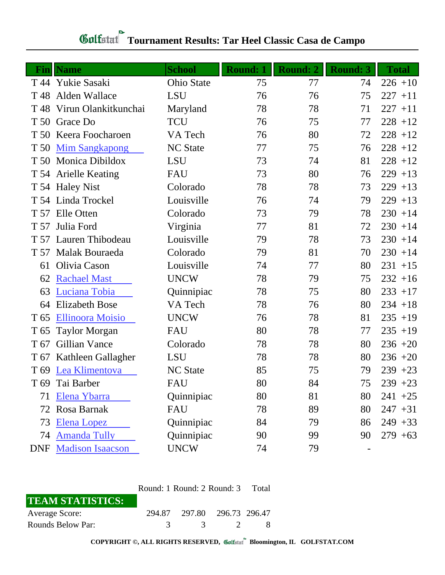| Fin             | <b>Name</b>                 | <b>School</b>     | <b>Round: 1</b> | <b>Round: 2</b> | <b>Round: 3</b> | <b>Total</b> |
|-----------------|-----------------------------|-------------------|-----------------|-----------------|-----------------|--------------|
|                 | T 44 Yukie Sasaki           | <b>Ohio State</b> | 75              | 77              | 74              | $226 + 10$   |
| T 48            | Alden Wallace               | <b>LSU</b>        | 76              | 76              | 75              | $227 + 11$   |
| T 48            | Virun Olankitkunchai        | Maryland          | 78              | 78              | 71              | $227 + 11$   |
|                 | T 50 Grace Do               | <b>TCU</b>        | 76              | 75              | 77              | $228 + 12$   |
|                 | T 50 Keera Foocharoen       | VA Tech           | 76              | 80              | 72              | $228 + 12$   |
|                 | T 50 Mim Sangkapong         | <b>NC State</b>   | 77              | 75              | 76              | $228 + 12$   |
|                 | T 50 Monica Dibildox        | <b>LSU</b>        | 73              | 74              | 81              | $228 + 12$   |
|                 | T 54 Arielle Keating        | <b>FAU</b>        | 73              | 80              | 76              | $229 + 13$   |
|                 | T 54 Haley Nist             | Colorado          | 78              | 78              | 73              | $229 + 13$   |
|                 | T 54 Linda Trockel          | Louisville        | 76              | 74              | 79              | $229 + 13$   |
|                 | T 57 Elle Otten             | Colorado          | 73              | 79              | 78              | $230 + 14$   |
| T 57            | Julia Ford                  | Virginia          | 77              | 81              | 72              | $230 + 14$   |
|                 | T 57 Lauren Thibodeau       | Louisville        | 79              | 78              | 73              | $230 + 14$   |
| T 57            | Malak Bouraeda              | Colorado          | 79              | 81              | 70              | $230 + 14$   |
| 61              | Olivia Cason                | Louisville        | 74              | 77              | 80              | $231 + 15$   |
| 62              | <b>Rachael Mast</b>         | <b>UNCW</b>       | 78              | 79              | 75              | $232 + 16$   |
| 63              | Luciana Tobia               | Quinnipiac        | 78              | 75              | 80              | $233 + 17$   |
| 64              | <b>Elizabeth Bose</b>       | VA Tech           | 78              | 76              | 80              | $234 + 18$   |
| T 65            | <b>Ellinoora Moisio</b>     | <b>UNCW</b>       | 76              | 78              | 81              | $235 + 19$   |
| T 65            | <b>Taylor Morgan</b>        | <b>FAU</b>        | 80              | 78              | 77              | $235 + 19$   |
| T 67            | Gillian Vance               | Colorado          | 78              | 78              | 80              | $236 + 20$   |
|                 | T 67 Kathleen Gallagher     | <b>LSU</b>        | 78              | 78              | 80              | $236 + 20$   |
|                 | T 69 Lea Klimentova         | <b>NC State</b>   | 85              | 75              | 79              | $239 + 23$   |
| T <sub>69</sub> | Tai Barber                  | FAU               | 80              | 84              | 75              | $239 + 23$   |
| 71              | Elena Ybarra                | Quinnipiac        | 80              | 81              | 80              | $241 + 25$   |
|                 | 72 Rosa Barnak              | <b>FAU</b>        | 78              | 89              | 80              | $247 + 31$   |
| 73              | <b>Elena Lopez</b>          | Quinnipiac        | 84              | 79              | 86              | $249 + 33$   |
| 74              | <b>Amanda Tully</b>         | Quinnipiac        | 90              | 99              | 90              | $279 + 63$   |
|                 | <b>DNF</b> Madison Isaacson | <b>UNCW</b>       | 74              | 79              |                 |              |

## **Tournament Results: Tar Heel Classic Casa de Campo**

|                         | Round: 1 Round: 2 Round: 3 Total |                             |                   |  |
|-------------------------|----------------------------------|-----------------------------|-------------------|--|
| <b>TEAM STATISTICS:</b> |                                  |                             |                   |  |
| Average Score:          |                                  | 294.87 297.80 296.73 296.47 |                   |  |
| Rounds Below Par:       | $\mathcal{R}$                    |                             | $\sim$ 3 $\sim$ 2 |  |

**COPYRIGHT ©, ALL RIGHTS RESERVED, Bloomington, IL GOLFSTAT.COM**